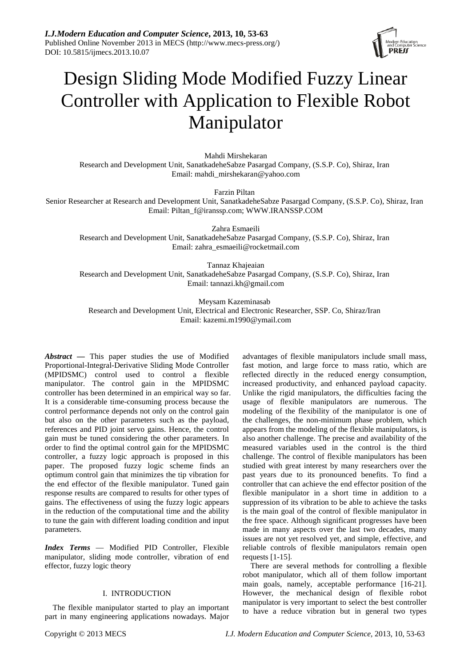

# Design Sliding Mode Modified Fuzzy Linear Controller with Application to Flexible Robot Manipulator

Mahdi Mirshekaran Research and Development Unit, SanatkadeheSabze Pasargad Company, (S.S.P. Co), Shiraz, Iran Email: mahdi\_mirshekaran@yahoo.com

Farzin Piltan

Senior Researcher at Research and Development Unit, SanatkadeheSabze Pasargad Company, (S.S.P. Co), Shiraz, Iran Email: [Piltan\\_f@iranssp.com;](mailto:Piltan_f@iranssp.com) WWW.IRANSSP.COM

Zahra Esmaeili Research and Development Unit, SanatkadeheSabze Pasargad Company, (S.S.P. Co), Shiraz, Iran Email: zahra\_esmaeili@rocketmail.com

Tannaz Khajeaian

Research and Development Unit, SanatkadeheSabze Pasargad Company, (S.S.P. Co), Shiraz, Iran Email: tannazi.kh@gmail.com

Meysam Kazeminasab

Research and Development Unit, Electrical and Electronic Researcher, SSP. Co, Shiraz/Iran Email: kazemi.m1990@ymail.com

*Abstract* **—** This paper studies the use of Modified Proportional-Integral-Derivative Sliding Mode Controller (MPIDSMC) control used to control a flexible manipulator. The control gain in the MPIDSMC controller has been determined in an empirical way so far. It is a considerable time-consuming process because the control performance depends not only on the control gain but also on the other parameters such as the payload, references and PID joint servo gains. Hence, the control gain must be tuned considering the other parameters. In order to find the optimal control gain for the MPIDSMC controller, a fuzzy logic approach is proposed in this paper. The proposed fuzzy logic scheme finds an optimum control gain that minimizes the tip vibration for the end effector of the flexible manipulator. Tuned gain response results are compared to results for other types of gains. The effectiveness of using the fuzzy logic appears in the reduction of the computational time and the ability to tune the gain with different loading condition and input parameters.

*Index Terms* — Modified PID Controller, Flexible manipulator, sliding mode controller, vibration of end effector, fuzzy logic theory

# I. INTRODUCTION

The flexible manipulator started to play an important part in many engineering applications nowadays. Major advantages of flexible manipulators include small mass, fast motion, and large force to mass ratio, which are reflected directly in the reduced energy consumption, increased productivity, and enhanced payload capacity. Unlike the rigid manipulators, the difficulties facing the usage of flexible manipulators are numerous. The modeling of the flexibility of the manipulator is one of the challenges, the non-minimum phase problem, which appears from the modeling of the flexible manipulators, is also another challenge. The precise and availability of the measured variables used in the control is the third challenge. The control of flexible manipulators has been studied with great interest by many researchers over the past years due to its pronounced benefits. To find a controller that can achieve the end effector position of the flexible manipulator in a short time in addition to a suppression of its vibration to be able to achieve the tasks is the main goal of the control of flexible manipulator in the free space. Although significant progresses have been made in many aspects over the last two decades, many issues are not yet resolved yet, and simple, effective, and reliable controls of flexible manipulators remain open requests [1-15].

There are several methods for controlling a flexible robot manipulator, which all of them follow important main goals, namely, acceptable performance [16-21]. However, the mechanical design of flexible robot manipulator is very important to select the best controller to have a reduce vibration but in general two types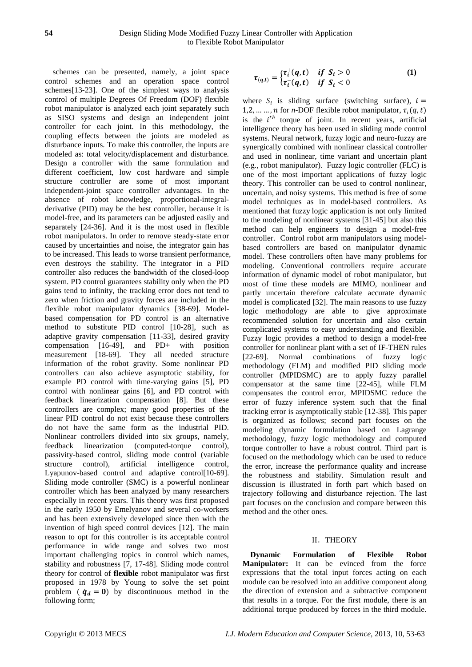schemes can be presented, namely, a joint space control schemes and an operation space control schemes[13-23]. One of the simplest ways to analysis control of multiple Degrees Of Freedom (DOF) flexible robot manipulator is analyzed each joint separately such as SISO systems and design an independent joint controller for each joint. In this methodology, the coupling effects between the joints are modeled as disturbance inputs. To make this controller, the inputs are modeled as: total velocity/displacement and disturbance. Design a controller with the same formulation and different coefficient, low cost hardware and simple structure controller are some of most important independent-joint space controller advantages. In the absence of robot knowledge, proportional-integralderivative (PID) may be the best controller, because it is model-free, and its parameters can be adjusted easily and separately [24-36]. And it is the most used in flexible robot manipulators. In order to remove steady-state error caused by uncertainties and noise, the integrator gain has to be increased. This leads to worse transient performance, even destroys the stability. The integrator in a PID controller also reduces the bandwidth of the closed-loop system. PD control guarantees stability only when the PD gains tend to infinity, the tracking error does not tend to zero when friction and gravity forces are included in the flexible robot manipulator dynamics [38-69]. Modelbased compensation for PD control is an alternative method to substitute PID control [10-28], such as adaptive gravity compensation [11-33], desired gravity compensation [16-49], and PD+ with position measurement [18-69]. They all needed structure information of the robot gravity. Some nonlinear PD controllers can also achieve asymptotic stability, for example PD control with time-varying gains [5], PD control with nonlinear gains [6], and PD control with feedback linearization compensation [8]. But these controllers are complex; many good properties of the linear PID control do not exist because these controllers do not have the same form as the industrial PID. Nonlinear controllers divided into six groups, namely, feedback linearization (computed-torque control), passivity-based control, sliding mode control (variable structure control), artificial intelligence control, Lyapunov-based control and adaptive control[10-69]. Sliding mode controller (SMC) is a powerful nonlinear controller which has been analyzed by many researchers especially in recent years. This theory was first proposed in the early 1950 by Emelyanov and several co-workers and has been extensively developed since then with the invention of high speed control devices [12]. The main reason to opt for this controller is its acceptable control performance in wide range and solves two most important challenging topics in control which names, stability and robustness [7, 17-48]. Sliding mode control theory for control of **flexible** robot manipulator was first proposed in 1978 by Young to solve the set point problem ( $\dot{q}_d = 0$ ) by discontinuous method in the following form;

$$
\tau_{(q,t)} = \begin{cases} \tau_i^+(q,t) & \text{if } S_i > 0 \\ \tau_i^-(q,t) & \text{if } S_i < 0 \end{cases}
$$
 (1)

where  $S_i$  is sliding surface (switching surface),  $i =$ 1,2, ... ..., *n* for *n*-DOF flexible robot manipulator,  $\tau_i(q,t)$ is the  $i<sup>th</sup>$  torque of joint. In recent years, artificial intelligence theory has been used in sliding mode control systems. Neural network, fuzzy logic and neuro-fuzzy are synergically combined with nonlinear classical controller and used in nonlinear, time variant and uncertain plant (e.g., robot manipulator). Fuzzy logic controller (FLC) is one of the most important applications of fuzzy logic theory. This controller can be used to control nonlinear, uncertain, and noisy systems. This method is free of some model techniques as in model-based controllers. As mentioned that fuzzy logic application is not only limited to the modeling of nonlinear systems [31-45] but also this method can help engineers to design a model-free controller. Control robot arm manipulators using modelbased controllers are based on manipulator dynamic model. These controllers often have many problems for modeling. Conventional controllers require accurate information of dynamic model of robot manipulator, but most of time these models are MIMO, nonlinear and partly uncertain therefore calculate accurate dynamic model is complicated [32]. The main reasons to use fuzzy logic methodology are able to give approximate recommended solution for uncertain and also certain complicated systems to easy understanding and flexible. Fuzzy logic provides a method to design a model-free controller for nonlinear plant with a set of IF-THEN rules [22-69]. Normal combinations of fuzzy logic methodology (FLM) and modified PID sliding mode controller (MPIDSMC) are to apply fuzzy parallel compensator at the same time [22-45], while FLM compensates the control error, MPIDSMC reduce the error of fuzzy inference system such that the final tracking error is asymptotically stable [12-38]. This paper is organized as follows; second part focuses on the modeling dynamic formulation based on Lagrange methodology, fuzzy logic methodology and computed torque controller to have a robust control. Third part is focused on the methodology which can be used to reduce the error, increase the performance quality and increase the robustness and stability. Simulation result and discussion is illustrated in forth part which based on trajectory following and disturbance rejection. The last part focuses on the conclusion and compare between this method and the other ones.

## II.THEORY

**Dynamic Formulation of Flexible Robot Manipulator:** It can be evinced from the force expressions that the total input forces acting on each module can be resolved into an additive component along the direction of extension and a subtractive component that results in a torque. For the first module, there is an additional torque produced by forces in the third module.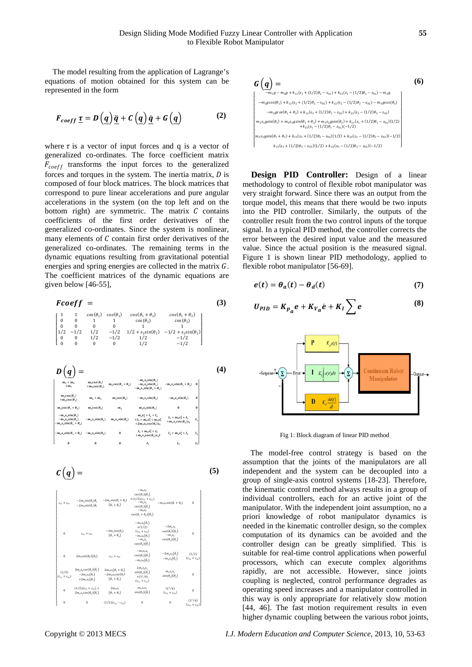The model resulting from the application of Lagrange's equations of motion obtained for this system can be represented in the form

$$
F_{coeff} \underline{\tau} = D\left(\underline{q}\right) \underline{\ddot{q}} + C\left(\underline{q}\right) \underline{\dot{q}} + G\left(\underline{q}\right) \tag{2}
$$

where  $\tau$  is a vector of input forces and q is a vector of generalized co-ordinates. The force coefficient matrix  $F_{coeff}$  transforms the input forces to the generalized forces and torques in the system. The inertia matrix,  $D$  is composed of four block matrices. The block matrices that correspond to pure linear accelerations and pure angular accelerations in the system (on the top left and on the bottom right) are symmetric. The matrix  $C$  contains coefficients of the first order derivatives of the generalized co-ordinates. Since the system is nonlinear, many elements of  $C$  contain first order derivatives of the generalized co-ordinates. The remaining terms in the dynamic equations resulting from gravitational potential energies and spring energies are collected in the matrix  $G$ . The coefficient matrices of the dynamic equations are given below [46-55],

|  | $Fcoeff =$ |                                 |                                                                                                                                                                                                                                                                                                                                                            | 3) |
|--|------------|---------------------------------|------------------------------------------------------------------------------------------------------------------------------------------------------------------------------------------------------------------------------------------------------------------------------------------------------------------------------------------------------------|----|
|  |            | $cos(\theta_1)$ $cos(\theta_1)$ |                                                                                                                                                                                                                                                                                                                                                            |    |
|  |            |                                 | $\begin{bmatrix} cos(\theta_1 + \theta_2) \\ cos(\theta_2) \end{bmatrix}$<br>$\begin{bmatrix} 1 & 1 & cos(\theta_1) & cos(\theta_1) & cos(\theta_1+\theta_2) & cos(\theta_1+\theta_2) \\ 0 & 0 & 1 & 1 & cos(\theta_2) & cos(\theta_2) \\ 0 & 0 & 0 & 0 & 1 & 1 \\ 1/2 & -1/2 & 1/2 & -1/2 & 1/2+s_2 sin(\theta_2) & -1/2+s_2 sin(\theta_2) \end{bmatrix}$ |    |
|  |            |                                 |                                                                                                                                                                                                                                                                                                                                                            |    |
|  |            |                                 |                                                                                                                                                                                                                                                                                                                                                            |    |
|  |            |                                 |                                                                                                                                                                                                                                                                                                                                                            |    |

| $D(q) =$                                                                            |                                           |                             |                                                                                       |                                                      |          |
|-------------------------------------------------------------------------------------|-------------------------------------------|-----------------------------|---------------------------------------------------------------------------------------|------------------------------------------------------|----------|
| $m_1 + m_2$<br>$+m3$                                                                | $m_2cos(\theta_1)$<br>$+m_2cos(\theta_1)$ | $m_3cos(\theta_1+\theta_2)$ | $-m_2s_2sin(\theta_1)$<br>$-m_3s_2sin(\theta_1)$<br>$-m_3s_3sin(\theta_1+\theta_2)$   | $-m_3s_3sin(\theta_1+\theta_2)$ 0                    |          |
| $m_2cos(\theta_1)$<br>$+m_3cos(\theta_1)$                                           | $m_2 + m_3$                               | $m_2cos(\theta_2)$          | $-\pmb{m}_3\pmb{s}_3\pmb{sin}(\pmb{\theta}_2)$                                        | $-m_3s_3sin(\theta_2)$                               | $\bf{0}$ |
| $m_3cos(\theta_1+\theta_2)$                                                         | $m_3cos(\theta_2)$                        | $m_{\lambda}$               | $m_3s_3sin(\theta_2)$                                                                 | $\Omega$                                             | $\bf{0}$ |
| $-m_2s_2sin(\theta_1)$<br>$-m_3s_2sin(\theta_1)$<br>$-m_3s_3sin(\theta_1+\theta_2)$ | $-m_3s_3sin(\theta_2)$                    | $m_3s_2sin(\theta_2)$       | $m_2s_2^2 + I_1 + I_2$<br>$+I_3 + m_3s_2^2 + m_3s_3^2$<br>+2 $m_3s_3cos(\theta_2)s_2$ | $I_2 + m_3 s_3^2 + I_3$<br>$+m_3s_3cos(\theta_2)s_2$ | $I_3$    |
| $-m_3s_3sin(\theta_1+\theta_2)$ $-m_3s_3sin(\theta_2)$                              |                                           | $\bf{0}$                    | $I_2 + m_3 s_3^2 + I_3$<br>$+m$ , s, cos( $A$ ) s, I                                  | $I_2 + m_3 s_3^2 + I_3$                              | $I_3$    |

 $0$  1/2  $-1/2$  1/2  $1/2$   $-1/2$ <br>0 0 0 1/2  $-1/2$ 0 0 0 0  $1/2$  −1/2 J

L

⎣

$$
C\left(\underline{q}\right) = \tag{5}
$$

0 0 0  $I_3$   $I_3$   $I_3$ 

 $+m_3s_3cos(\theta_2)s_2I$   $I_2 + m_3s_3$ 

 $\mathbf{L}$ 

**(4)**

| $c_{11} + c_{21}$            | $-2m_2\sin(\theta_1)\dot{\theta}_1$<br>$-2m_3\sin(\theta_1)\dot{\theta}_1$                          | $-2m_3\sin(\theta_1+\theta_2)$<br>$(\dot{\theta}_1 + \dot{\theta}_2)$                                      | $-m_2s_2$<br>$cos(\theta_1)(\dot{\theta}_1)$<br>$+(1/2)(c_{11}+c_{21})$<br>$-m_3s_2$<br>$cos(\theta_1)(\dot{\theta}_1)$<br>$-m_3s_3$<br>$cos(\theta_1 + \theta_2)(\dot{\theta}_1)$ | $-m_3s_3\sin(\theta_1+\theta_2)$                                                              | $\bf{0}$                         |
|------------------------------|-----------------------------------------------------------------------------------------------------|------------------------------------------------------------------------------------------------------------|------------------------------------------------------------------------------------------------------------------------------------------------------------------------------------|-----------------------------------------------------------------------------------------------|----------------------------------|
| $\bf{0}$                     | $c_{12} + c_{22}$                                                                                   | $-2m_3\sin(\theta_2)$<br>$(\dot{\theta}_1 + \dot{\theta}_2)$                                               | $-m_3s_3(\dot{\theta}_1)$<br>$+(1/2)$<br>$(c_{12} + c_{22})$<br>$-m_3s_2(\dot{\theta}_1)$<br>$-m_3s_3$<br>$cos(\theta_2)(\dot{\theta}_1)$                                          | $-2m_3s_3$<br>$cos(\theta_2)(\dot{\theta}_1)$<br>$-m_3s_3$<br>$cos(\theta_2)(\dot{\theta}_2)$ | $\bf{0}$                         |
| $\bf{0}$                     | $2m_3\sin(\theta_2)(\dot{\theta}_1)$                                                                | $c_{13} + c_{23}$                                                                                          | $-m_3s_3s_2$<br>$cos(\theta_2)(\dot{\theta}_1)$<br>$-m_3s_3(\dot{\theta}_1)$                                                                                                       | $-2m_3s_3(\dot{\theta}_1)$<br>$-m_3s_3(\dot{\theta}_2)$                                       | (1/2)<br>$(c_{13} + c_{23})$     |
| (1/2)<br>$(c_{11} + c_{21})$ | $2m_3s_3cos(\theta_2)(\dot{\theta}_1)$<br>$-2m_3s_2(\dot{\theta}_1)$<br>+2 $m_2s_2(\dot{\theta}_1)$ | $2m_3s_3(\dot{\theta}_1+\dot{\theta}_2)$<br>$-2m_3s_2cos(\theta_2)$<br>$(\dot{\theta_1} + \dot{\theta_2})$ | $2m_3s_3s_2$<br>$sin(\theta_2)(\dot{\theta}_2)$<br>$+(1^2/4)$<br>$(c_{11} + c_{21})$                                                                                               | $m_3s_3s_2$<br>$sin(\theta_2)(\dot{\theta}_2)$                                                | $\bf{0}$                         |
| $\bf{0}$                     | $(1/2)(c_{12} + c_{22}) +$<br>$2m_3s_3cos(\theta_2)(\dot{\theta}_1)$                                | $2m_3s_3$<br>$(\dot{\theta}_1 + \dot{\theta}_2)$                                                           | $m_3s_3s_2$<br>$sin(\theta_2)(\dot{\theta}_1)$                                                                                                                                     | $(1^2/4)$<br>$(c_{12} + c_{22})$                                                              | $\bf{0}$                         |
| $\bf{0}$                     | $\Omega$                                                                                            | $(1/2)(c_{13}-c_{23})$                                                                                     | $\Omega$                                                                                                                                                                           | $\Omega$                                                                                      | $(1^2/4)$<br>$(c_{13} + c_{23})$ |



**Design PID Controller:** Design of a linear methodology to control of flexible robot manipulator was very straight forward. Since there was an output from the torque model, this means that there would be two inputs into the PID controller. Similarly, the outputs of the controller result from the two control inputs of the torque signal. In a typical PID method, the controller corrects the error between the desired input value and the measured value. Since the actual position is the measured signal. Figure 1 is shown linear PID methodology, applied to flexible robot manipulator [56-69].

$$
e(t) = \theta_a(t) - \theta_d(t) \tag{7}
$$

$$
U_{PID} = K_{p_a} e + K_{V_a} \dot{e} + K_I \sum e
$$
 (8)



Fig 1: Block diagram of linear PID method

The model-free control strategy is based on the assumption that the joints of the manipulators are all independent and the system can be decoupled into a group of single-axis control systems [18-23]. Therefore, the kinematic control method always results in a group of individual controllers, each for an active joint of the manipulator. With the independent joint assumption, no a priori knowledge of robot manipulator dynamics is needed in the kinematic controller design, so the complex computation of its dynamics can be avoided and the controller design can be greatly simplified. This is suitable for real-time control applications when powerful processors, which can execute complex algorithms rapidly, are not accessible. However, since joints coupling is neglected, control performance degrades as operating speed increases and a manipulator controlled in this way is only appropriate for relatively slow motion [44, 46]. The fast motion requirement results in even higher dynamic coupling between the various robot joints,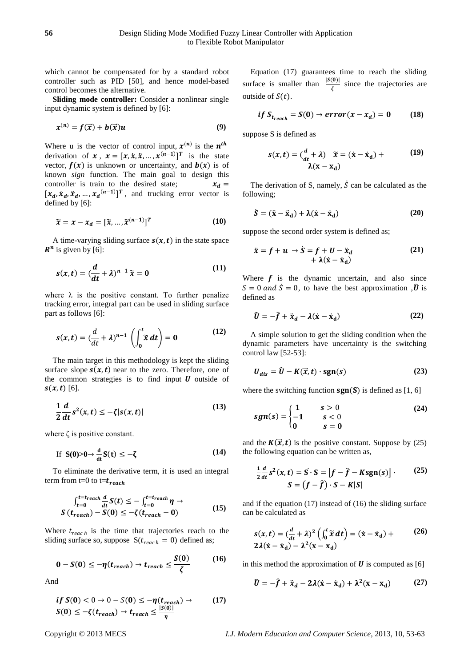which cannot be compensated for by a standard robot controller such as PID [50], and hence model-based control becomes the alternative.

**Sliding mode controller:** Consider a nonlinear single input dynamic system is defined by [6]:

$$
x^{(n)} = f(\vec{x}) + b(\vec{x})u \tag{9}
$$

Where u is the vector of control input,  $x^{(n)}$  is the  $n^{th}$ derivation of  $x$ ,  $x = [x, \dot{x}, \ddot{x}, \dots, x^{(n-1)}]^T$  is the state vector,  $f(x)$  is unknown or uncertainty, and  $b(x)$  is of known *sign* function. The main goal to design this controller is train to the desired state;  $x_d =$  $[x_d, \dot{x}_d, \dot{x}_d, ..., x_d^{(n-1)}]^T$ , and trucking error vector is defined by [6]:

$$
\widetilde{\mathbf{x}} = \mathbf{x} - \mathbf{x}_d = [\widetilde{\mathbf{x}}, \dots, \widetilde{\mathbf{x}}^{(n-1)}]^T
$$
 (10)

A time-varying sliding surface  $s(x, t)$  in the state space  $\mathbb{R}^n$  is given by [6]:

$$
s(x,t) = \left(\frac{d}{dt} + \lambda\right)^{n-1} \tilde{x} = 0 \tag{11}
$$

where  $\lambda$  is the positive constant. To further penalize tracking error, integral part can be used in sliding surface part as follows [6]:

$$
s(x,t) = \left(\frac{d}{dt} + \lambda\right)^{n-1} \left(\int_0^t \widetilde{x} \, dt\right) = 0 \tag{12}
$$

The main target in this methodology is kept the sliding surface slope  $s(x, t)$  near to the zero. Therefore, one of the common strategies is to find input  $U$  outside of  $s(x, t)$  [6].

$$
\frac{1}{2}\frac{d}{dt}s^2(x,t) \le -\zeta|s(x,t)|\tag{13}
$$

where  $\zeta$  is positive constant.

If 
$$
S(0) > 0 \rightarrow \frac{d}{dt} S(t) \le -\zeta
$$
 (14)

To eliminate the derivative term, it is used an integral term from t=0 to t= $t_{reach}$ 

$$
\int_{t=0}^{t=t_{reach}} \frac{d}{dt} S(t) \le - \int_{t=0}^{t=t_{reach}} \eta \to
$$
  

$$
S(t_{reach}) - S(0) \le -\zeta(t_{reach} - 0)
$$
 (15)

Where  $t_{\text{reach}}$  is the time that trajectories reach to the sliding surface so, suppose  $S(t_{reach} = 0)$  defined as;

$$
0 - S(0) \le -\eta(t_{reach}) \to t_{reach} \le \frac{S(0)}{\zeta}
$$
 (16)

And

$$
if S(0) < 0 \rightarrow 0-S(0) \le -\eta(t_{reach}) \rightarrow (17)
$$
  

$$
S(0) \le -\zeta(t_{reach}) \rightarrow t_{reach} \le \frac{|S(0)|}{\eta}
$$

Equation (17) guarantees time to reach the sliding surface is smaller than  $\frac{|S(0)|}{\zeta}$  since the trajectories are outside of  $S(t)$ .

$$
if S_{t_{reach}} = S(0) \rightarrow error(x - x_d) = 0 \qquad (18)
$$

suppose S is defined as

$$
s(x,t) = \left(\frac{d}{dt} + \lambda\right) \quad \tilde{x} = (\dot{x} - \dot{x}_d) + \tag{19}
$$
\n
$$
\lambda(x - x_d)
$$

The derivation of S, namely,  $\dot{S}$  can be calculated as the following;

$$
\dot{S} = (\ddot{x} - \ddot{x}_d) + \lambda(\dot{x} - \dot{x}_d) \tag{20}
$$

suppose the second order system is defined as;

$$
\ddot{x} = f + u \rightarrow \dot{S} = f + U - \ddot{x}_d + \lambda(\dot{x} - \dot{x}_d)
$$
 (21)

Where  $f$  is the dynamic uncertain, and also since  $S = 0$  and  $\dot{S} = 0$ , to have the best approximation ,  $\hat{U}$  is defined as

$$
\hat{U} = -\hat{f} + \ddot{x}_d - \lambda(\dot{x} - \dot{x}_d)
$$
 (22)

A simple solution to get the sliding condition when the dynamic parameters have uncertainty is the switching control law [52-53]:

$$
U_{dis} = \hat{U} - K(\vec{x}, t) \cdot \text{sgn}(s) \tag{23}
$$

where the switching function  $sgn(S)$  is defined as [1, 6]

$$
sgn(s) = \begin{cases} 1 & s > 0 \\ -1 & s < 0 \\ 0 & s = 0 \end{cases}
$$
 (24)

and the  $K(\vec{x}, t)$  is the positive constant. Suppose by (25) the following equation can be written as,

$$
\frac{1}{2}\frac{d}{dt}s^2(x,t) = \mathbf{S} \cdot \mathbf{S} = [f - \hat{f} - K\mathbf{sgn}(s)]. \tag{25}
$$

$$
\mathbf{S} = (f - \hat{f}) \cdot \mathbf{S} - K|\mathbf{S}|
$$

and if the equation (17) instead of (16) the sliding surface can be calculated as

$$
s(x,t) = \left(\frac{d}{dt} + \lambda\right)^2 \left(\int_0^t \widetilde{x} \, dt\right) = \left(\dot{x} - \dot{x}_d\right) + \tag{26}
$$
  
2 $\lambda(\dot{x} - \dot{x}_d) - \lambda^2(x - x_d)$ 

in this method the approximation of  $\boldsymbol{U}$  is computed as [6]

$$
\hat{U} = -\hat{f} + \ddot{x}_d - 2\lambda(\dot{x} - \dot{x}_d) + \lambda^2(x - x_d) \tag{27}
$$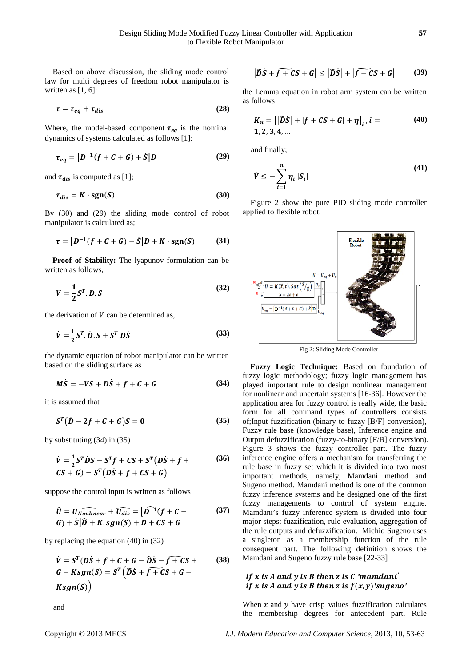Based on above discussion, the sliding mode control law for multi degrees of freedom robot manipulator is written as  $[1, 6]$ :

$$
\tau = \tau_{eq} + \tau_{dis} \tag{28}
$$

Where, the model-based component  $\tau_{eq}$  is the nominal dynamics of systems calculated as follows [1]:

$$
\tau_{eq} = \left[D^{-1}(f + C + G) + \dot{S}\right]D\tag{29}
$$

and  $\tau_{dis}$  is computed as [1];

$$
\tau_{dis} = K \cdot \text{sgn}(S) \tag{30}
$$

By (30) and (29) the sliding mode control of robot manipulator is calculated as;

$$
\tau = [D^{-1}(f + C + G) + \dot{S}]D + K \cdot \text{sgn}(S) \tag{31}
$$

**Proof of Stability:** The lyapunov formulation can be written as follows,

$$
V = \frac{1}{2}S^T \cdot D \cdot S \tag{32}
$$

the derivation of  $V$  can be determined as,

$$
\dot{V} = \frac{1}{2}S^T \cdot \dot{D} \cdot S + S^T \cdot D\dot{S} \tag{33}
$$

the dynamic equation of robot manipulator can be written based on the sliding surface as

$$
M\dot{S} = -VS + D\dot{S} + f + C + G \qquad (34)
$$

it is assumed that

$$
ST(\dot{D}-2f+C+G)S=0
$$
 (35)

by substituting (34) in (35)

$$
\dot{V} = \frac{1}{2}S^{T}\dot{D}S - S^{T}f + CS + S^{T}(D\dot{S} + f + \text{(36)}
$$
\n
$$
CS + G) = S^{T}(D\dot{S} + f + CS + G)
$$

suppose the control input is written as follows

$$
\widehat{U} = U_{Nonlinear} + \widehat{U_{dis}} = [\widehat{D^{-1}}(f + C + G)]
$$
  
\n
$$
G) + \widehat{S} \widehat{D} + K \cdot sgn(S) + D + CS + G
$$
\n(37)

by replacing the equation (40) in (32)

$$
\dot{V} = S^{T}(D\dot{S} + f + C + G - \hat{D}\dot{S} - \hat{f} + CS + G - Ksgn(S) = S^{T}(\tilde{D}\dot{S} + \hat{f} + CS + G - Ksgn(S))
$$
\n(38)

and

$$
\left|\widetilde{D}\dot{S} + \widetilde{f + CS} + G\right| \le \left|\widetilde{D}\dot{S}\right| + \left|\widetilde{f + CS} + G\right| \tag{39}
$$

the Lemma equation in robot arm system can be written as follows

$$
K_u = [|\tilde{D}\dot{S}| + |f + CS + G| + \eta]_i, i = (40)
$$
  
1, 2, 3, 4, ...

and finally;

$$
\dot{V} \le -\sum_{i=1}^{n} \eta_i |S_i| \tag{41}
$$

Figure 2 show the pure PID sliding mode controller applied to flexible robot.



Fig 2: Sliding Mode Controller

**Fuzzy Logic Technique:** Based on foundation of fuzzy logic methodology; fuzzy logic management has played important rule to design nonlinear management for nonlinear and uncertain systems [16-36]. However the application area for fuzzy control is really wide, the basic form for all command types of controllers consists of;Input fuzzification (binary-to-fuzzy [B/F] conversion), Fuzzy rule base (knowledge base), Inference engine and Output defuzzification (fuzzy-to-binary [F/B] conversion). Figure 3 shows the fuzzy controller part. The fuzzy inference engine offers a mechanism for transferring the rule base in fuzzy set which it is divided into two most important methods, namely, Mamdani method and Sugeno method. Mamdani method is one of the common fuzzy inference systems and he designed one of the first fuzzy managements to control of system engine. Mamdani's fuzzy inference system is divided into four major steps: fuzzification, rule evaluation, aggregation of the rule outputs and defuzzification. Michio Sugeno uses a singleton as a membership function of the rule consequent part. The following definition shows the Mamdani and Sugeno fuzzy rule base [22-33]

## *if x is A and y is B then z is C 'mamdani if* x is A and y is B then z is  $f(x, y)$ 'sugeno'

When  $x$  and  $y$  have crisp values fuzzification calculates the membership degrees for antecedent part. Rule

Copyright © 2013 MECS *I.J. Modern Education and Computer Science,* 2013, 10, 53-63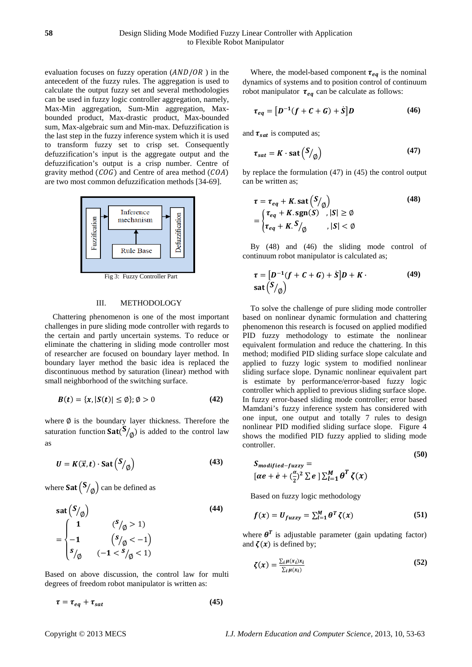evaluation focuses on fuzzy operation  $(AND/OR)$  in the antecedent of the fuzzy rules. The aggregation is used to calculate the output fuzzy set and several methodologies can be used in fuzzy logic controller aggregation, namely, Max-Min aggregation, Sum-Min aggregation, Maxbounded product, Max-drastic product, Max-bounded sum, Max-algebraic sum and Min-max. Defuzzification is the last step in the fuzzy inference system which it is used to transform fuzzy set to crisp set. Consequently defuzzification's input is the aggregate output and the defuzzification's output is a crisp number. Centre of gravity method  $(COG)$  and Centre of area method  $(COA)$ are two most common defuzzification methods [34-69].



#### Fig 3: Fuzzy Controller Part

#### III. METHODOLOGY

Chattering phenomenon is one of the most important challenges in pure sliding mode controller with regards to the certain and partly uncertain systems. To reduce or eliminate the chattering in sliding mode controller most of researcher are focused on boundary layer method. In boundary layer method the basic idea is replaced the discontinuous method by saturation (linear) method with small neighborhood of the switching surface.

$$
B(t) = \{x, |S(t)| \le \emptyset\}; \emptyset > 0 \tag{42}
$$

where  $\emptyset$  is the boundary layer thickness. Therefore the saturation function  $\text{Sat}(\mathcal{S}/_{\text{Q}})$  is added to the control law as

$$
U = K(\vec{x}, t) \cdot \text{Sat}\left(\frac{S}{\phi}\right) \tag{43}
$$

where **Sat**  $\left(\frac{S}{\phi}\right)$  can be defined as

sat 
$$
\binom{S}{\emptyset}
$$
 (44)  
=  $\begin{cases} 1 & (\binom{S}{\emptyset} > 1) \\ -1 & (\binom{S}{\emptyset} < -1) \\ S_{\emptyset} & (-1 < s_{\emptyset} < 1) \end{cases}$ 

Based on above discussion, the control law for multi degrees of freedom robot manipulator is written as:

$$
\tau = \tau_{eq} + \tau_{sat} \tag{45}
$$

Where, the model-based component  $\tau_{eq}$  is the nominal dynamics of systems and to position control of continuum robot manipulator  $\tau_{eq}$  can be calculate as follows:

$$
\tau_{eq} = \left[D^{-1}(f + C + G) + \dot{S}\right]D\tag{46}
$$

and  $\tau_{sat}$  is computed as;

$$
\tau_{sat} = K \cdot \text{sat} \left( \frac{S}{\phi} \right) \tag{47}
$$

by replace the formulation (47) in (45) the control output can be written as;

$$
\tau = \tau_{eq} + K \cdot \text{sat} \left( \frac{S}{\phi} \right)
$$
  
= 
$$
\begin{cases} \tau_{eq} + K \cdot \text{sgn}(S) & , |S| \ge \phi \\ \tau_{eq} + K \cdot \frac{S}{\phi} & , |S| < \phi \end{cases}
$$
 (48)

By (48) and (46) the sliding mode control of continuum robot manipulator is calculated as;

$$
\tau = [D^{-1}(f + C + G) + \dot{S}]D + K \qquad (49)
$$
  
sat  $\binom{S}{\emptyset}$ 

To solve the challenge of pure sliding mode controller based on nonlinear dynamic formulation and chattering phenomenon this research is focused on applied modified PID fuzzy methodology to estimate the nonlinear equivalent formulation and reduce the chattering. In this method; modified PID sliding surface slope calculate and applied to fuzzy logic system to modified nonlinear sliding surface slope. Dynamic nonlinear equivalent part is estimate by performance/error-based fuzzy logic controller which applied to previous sliding surface slope. In fuzzy error-based sliding mode controller; error based Mamdani's fuzzy inference system has considered with one input, one output and totally 7 rules to design nonlinear PID modified sliding surface slope. Figure 4 shows the modified PID fuzzy applied to sliding mode controller.

$$
S_{modified-fuzzy} = [\alpha e + \dot{e} + (\frac{\alpha}{2})^2 \sum e] \sum_{l=1}^{M} \theta^T \zeta(x)
$$

Based on fuzzy logic methodology

$$
f(x) = U_{fuzzy} = \sum_{l=1}^{M} \theta^{T} \zeta(x)
$$
 (51)

**(50)**

where  $\theta^T$  is adjustable parameter (gain updating factor) and  $\zeta(x)$  is defined by;

$$
\zeta(x) = \frac{\sum_{i} \mu(x_i) x_i}{\sum_{i} \mu(x_i)} \tag{52}
$$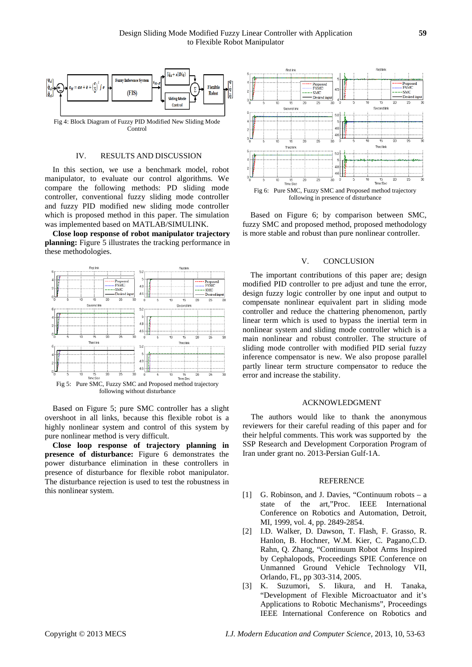

Fig 4: Block Diagram of Fuzzy PID Modified New Sliding Mode Control

# IV. RESULTS AND DISCUSSION

In this section, we use a benchmark model, robot manipulator, to evaluate our control algorithms. We compare the following methods: PD sliding mode controller, conventional fuzzy sliding mode controller and fuzzy PID modified new sliding mode controller which is proposed method in this paper. The simulation was implemented based on MATLAB/SIMULINK.

**Close loop response of robot manipulator trajectory planning:** Figure 5 illustrates the tracking performance in these methodologies.



Based on Figure 5; pure SMC controller has a slight overshoot in all links, because this flexible robot is a highly nonlinear system and control of this system by pure nonlinear method is very difficult.

**Close loop response of trajectory planning in presence of disturbance:** Figure 6 demonstrates the power disturbance elimination in these controllers in presence of disturbance for flexible robot manipulator. The disturbance rejection is used to test the robustness in this nonlinear system.



Based on Figure 6; by comparison between SMC, fuzzy SMC and proposed method, proposed methodology is more stable and robust than pure nonlinear controller.

## V. CONCLUSION

The important contributions of this paper are; design modified PID controller to pre adjust and tune the error, design fuzzy logic controller by one input and output to compensate nonlinear equivalent part in sliding mode controller and reduce the chattering phenomenon, partly linear term which is used to bypass the inertial term in nonlinear system and sliding mode controller which is a main nonlinear and robust controller. The structure of sliding mode controller with modified PID serial fuzzy inference compensator is new. We also propose parallel partly linear term structure compensator to reduce the error and increase the stability.

## ACKNOWLEDGMENT

The authors would like to thank the anonymous reviewers for their careful reading of this paper and for their helpful comments. This work was supported by the SSP Research and Development Corporation Program of Iran under grant no. 2013-Persian Gulf-1A.

### **REFERENCE**

- [1] G. Robinson, and J. Davies, "Continuum robots a state of the art,"Proc. IEEE International Conference on Robotics and Automation, Detroit, MI, 1999, vol. 4, pp. 2849-2854.
- [2] I.D. Walker, D. Dawson, T. Flash, F. Grasso, R. Hanlon, B. Hochner, W.M. Kier, C. Pagano,C.D. Rahn, Q. Zhang, "Continuum Robot Arms Inspired by Cephalopods, Proceedings SPIE Conference on Unmanned Ground Vehicle Technology VII, Orlando, FL, pp 303-314, 2005.
- [3] K. Suzumori, S. Iikura, and H. Tanaka, "Development of Flexible Microactuator and it's Applications to Robotic Mechanisms", Proceedings IEEE International Conference on Robotics and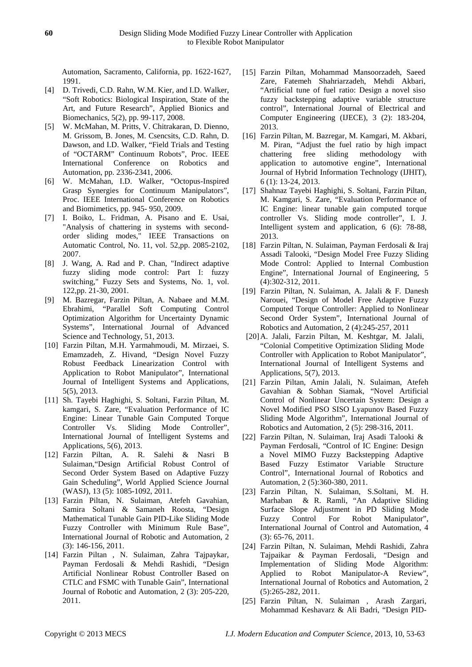Automation, Sacramento, California, pp. 1622-1627, 1991.

- [4] D. Trivedi, C.D. Rahn, W.M. Kier, and I.D. Walker, "Soft Robotics: Biological Inspiration, State of the Art, and Future Research", Applied Bionics and Biomechanics, 5(2), pp. 99-117, 2008.
- [5] W. McMahan, M. Pritts, V. Chitrakaran, D. Dienno, M. Grissom, B. Jones, M. Csencsits, C.D. Rahn, D. Dawson, and I.D. Walker, "Field Trials and Testing of "OCTARM" Continuum Robots", Proc. IEEE International Conference on Robotics and Automation, pp. 2336-2341, 2006.
- [6] W. McMahan, I.D. Walker, "Octopus-Inspired Grasp Synergies for Continuum Manipulators", Proc. IEEE International Conference on Robotics and Biomimetics, pp. 945- 950, 2009.
- [7] I. Boiko, L. Fridman, A. Pisano and E. Usai, "Analysis of chattering in systems with secondorder sliding modes," IEEE Transactions on Automatic Control, No. 11, vol. 52,pp. 2085-2102, 2007.
- [8] J. Wang, A. Rad and P. Chan, "Indirect adaptive fuzzy sliding mode control: Part I: fuzzy switching," Fuzzy Sets and Systems, No. 1, vol. 122,pp. 21-30, 2001.
- [9] M. Bazregar, Farzin Piltan, A. Nabaee and M.M. Ebrahimi, "Parallel Soft Computing Control Optimization Algorithm for Uncertainty Dynamic Systems", International Journal of Advanced Science and Technology, 51, 2013.
- [10] Farzin Piltan, M.H. Yarmahmoudi, M. Mirzaei, S. Emamzadeh, Z. Hivand, "Design Novel Fuzzy Robust Feedback Linearization Control with Application to Robot Manipulator", International Journal of Intelligent Systems and Applications, 5(5), 2013.
- [11] Sh. Tayebi Haghighi, S. Soltani, Farzin Piltan, M. kamgari, S. Zare, "Evaluation Performance of IC Engine: Linear Tunable Gain Computed Torque Controller Vs. Sliding Mode Controller", International Journal of Intelligent Systems and Applications, 5(6), 2013.
- [12] Farzin Piltan, A. R. Salehi & Nasri B Sulaiman,"Design Artificial Robust Control of Second Order System Based on Adaptive Fuzzy Gain Scheduling", World Applied Science Journal (WASJ), 13 (5): 1085-1092, 2011.
- [13] Farzin Piltan, N. Sulaiman, Atefeh Gavahian, Samira Soltani & Samaneh Roosta, "Design Mathematical Tunable Gain PID-Like Sliding Mode Fuzzy Controller with Minimum Rule Base", International Journal of Robotic and Automation, 2 (3): 146-156, 2011.
- [14] Farzin Piltan , N. Sulaiman, Zahra Tajpaykar, Payman Ferdosali & Mehdi Rashidi, "Design Artificial Nonlinear Robust Controller Based on CTLC and FSMC with Tunable Gain", International Journal of Robotic and Automation, 2 (3): 205-220, 2011.
- [15] Farzin Piltan, Mohammad Mansoorzadeh, Saeed Zare, Fatemeh Shahriarzadeh, Mehdi Akbari, "Artificial tune of fuel ratio: Design a novel siso fuzzy backstepping adaptive variable structure control", International Journal of Electrical and Computer Engineering (IJECE), 3 (2): 183-204, 2013.
- [16] Farzin Piltan, M. Bazregar, M. Kamgari, M. Akbari, M. Piran, "Adjust the fuel ratio by high impact chattering free sliding methodology with application to automotive engine", International Journal of Hybrid Information Technology (IJHIT), 6 (1): 13-24, 2013.
- [17] Shahnaz Tayebi Haghighi, S. Soltani, Farzin Piltan, M. Kamgari, S. Zare, "Evaluation Performance of IC Engine: linear tunable gain computed torque controller Vs. Sliding mode controller", I. J. Intelligent system and application, 6 (6): 78-88, 2013.
- [18] Farzin Piltan, N. Sulaiman, Payman Ferdosali & Iraj Assadi Talooki, "Design Model Free Fuzzy Sliding Mode Control: Applied to Internal Combustion Engine", International Journal of Engineering, 5 (4):302-312, 2011.
- [19] Farzin Piltan, N. Sulaiman, A. Jalali & F. Danesh Narouei, "Design of Model Free Adaptive Fuzzy Computed Torque Controller: Applied to Nonlinear Second Order System", International Journal of Robotics and Automation, 2 (4):245-257, 2011
- [20]A. Jalali, Farzin Piltan, M. Keshtgar, M. Jalali, "Colonial Competitive Optimization Sliding Mode Controller with Application to Robot Manipulator", International Journal of Intelligent Systems and Applications, 5(7), 2013.
- [21] Farzin Piltan, Amin Jalali, N. Sulaiman, Atefeh Gavahian & Sobhan Siamak, "Novel Artificial Control of Nonlinear Uncertain System: Design a Novel Modified PSO SISO Lyapunov Based Fuzzy Sliding Mode Algorithm", International Journal of Robotics and Automation, 2 (5): 298-316, 2011.
- [22] Farzin Piltan, N. Sulaiman, Iraj Asadi Talooki & Payman Ferdosali, "Control of IC Engine: Design a Novel MIMO Fuzzy Backstepping Adaptive Based Fuzzy Estimator Variable Structure Control", International Journal of Robotics and Automation, 2 (5):360-380, 2011.
- [23] Farzin Piltan, N. Sulaiman, S.Soltani, M. H. Marhaban & R. Ramli, "An Adaptive Sliding Surface Slope Adjustment in PD Sliding Mode Fuzzy Control For Robot Manipulator", International Journal of Control and Automation, 4 (3): 65-76, 2011.
- [24] Farzin Piltan, N. Sulaiman, Mehdi Rashidi, Zahra Tajpaikar & Payman Ferdosali, "Design and Implementation of Sliding Mode Algorithm: Applied to Robot Manipulator-A Review", International Journal of Robotics and Automation, 2 (5):265-282, 2011.
- [25] Farzin Piltan, N. Sulaiman , Arash Zargari, Mohammad Keshavarz & Ali Badri, "Design PID-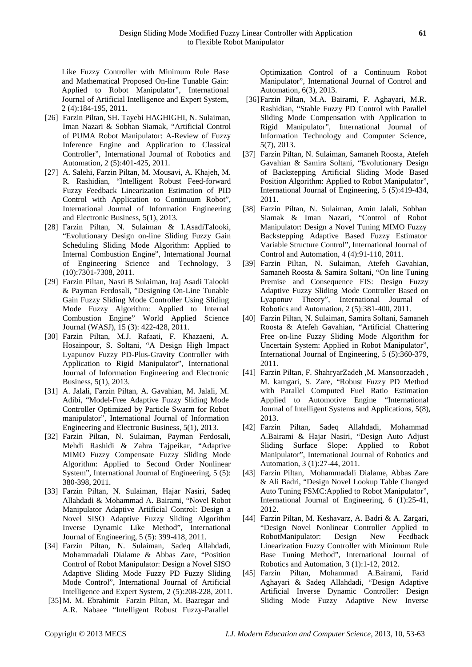Like Fuzzy Controller with Minimum Rule Base and Mathematical Proposed On-line Tunable Gain: Applied to Robot Manipulator", International Journal of Artificial Intelligence and Expert System, 2 (4):184-195, 2011.

- [26] Farzin Piltan, SH. Tayebi HAGHIGHI, N. Sulaiman, Iman Nazari & Sobhan Siamak, "Artificial Control of PUMA Robot Manipulator: A-Review of Fuzzy Inference Engine and Application to Classical Controller", International Journal of Robotics and Automation, 2 (5):401-425, 2011.
- [27] A. Salehi, Farzin Piltan, M. Mousavi, A. Khajeh, M. R. Rashidian, "Intelligent Robust Feed-forward Fuzzy Feedback Linearization Estimation of PID Control with Application to Continuum Robot", International Journal of Information Engineering and Electronic Business, 5(1), 2013.
- [28] Farzin Piltan, N. Sulaiman & I.AsadiTalooki, "Evolutionary Design on-line Sliding Fuzzy Gain Scheduling Sliding Mode Algorithm: Applied to Internal Combustion Engine", International Journal of Engineering Science and Technology, 3 (10):7301-7308, 2011.
- [29] Farzin Piltan, Nasri B Sulaiman, Iraj Asadi Talooki & Payman Ferdosali, "Designing On-Line Tunable Gain Fuzzy Sliding Mode Controller Using Sliding Mode Fuzzy Algorithm: Applied to Internal Combustion Engine" World Applied Science Journal (WASJ), 15 (3): 422-428, 2011.
- [30] Farzin Piltan, M.J. Rafaati, F. Khazaeni, A. Hosainpour, S. Soltani, "A Design High Impact Lyapunov Fuzzy PD-Plus-Gravity Controller with Application to Rigid Manipulator", International Journal of Information Engineering and Electronic Business, 5(1), 2013.
- [31] A. Jalali, Farzin Piltan, A. Gavahian, M. Jalali, M. Adibi, "Model-Free Adaptive Fuzzy Sliding Mode Controller Optimized by Particle Swarm for Robot manipulator", International Journal of Information Engineering and Electronic Business, 5(1), 2013.
- [32] Farzin Piltan, N. Sulaiman, Payman Ferdosali, Mehdi Rashidi & Zahra Tajpeikar, "Adaptive MIMO Fuzzy Compensate Fuzzy Sliding Mode Algorithm: Applied to Second Order Nonlinear System", International Journal of Engineering, 5 (5): 380-398, 2011.
- [33] Farzin Piltan, N. Sulaiman, Hajar Nasiri, Sadeq Allahdadi & Mohammad A. Bairami, "Novel Robot Manipulator Adaptive Artificial Control: Design a Novel SISO Adaptive Fuzzy Sliding Algorithm Inverse Dynamic Like Method", International Journal of Engineering, 5 (5): 399-418, 2011.
- [34] Farzin Piltan, N. Sulaiman, Sadeq Allahdadi, Mohammadali Dialame & Abbas Zare, "Position Control of Robot Manipulator: Design a Novel SISO Adaptive Sliding Mode Fuzzy PD Fuzzy Sliding Mode Control", International Journal of Artificial Intelligence and Expert System, 2 (5):208-228, 2011.
- [35]M. M. Ebrahimit Farzin Piltan, M. Bazregar and A.R. Nabaee "Intelligent Robust Fuzzy-Parallel

Optimization Control of a Continuum Robot Manipulator", International Journal of Control and Automation, 6(3), 2013.

- [36]Farzin Piltan, M.A. Bairami, F. Aghayari, M.R. Rashidian, "Stable Fuzzy PD Control with Parallel Sliding Mode Compensation with Application to Rigid Manipulator", International Journal of Information Technology and Computer Science, 5(7), 2013.
- [37] Farzin Piltan, N. Sulaiman, Samaneh Roosta, Atefeh Gavahian & Samira Soltani, "Evolutionary Design of Backstepping Artificial Sliding Mode Based Position Algorithm: Applied to Robot Manipulator", International Journal of Engineering, 5 (5):419-434, 2011.
- [38] Farzin Piltan, N. Sulaiman, Amin Jalali, Sobhan Siamak & Iman Nazari, "Control of Robot Manipulator: Design a Novel Tuning MIMO Fuzzy Backstepping Adaptive Based Fuzzy Estimator Variable Structure Control", International Journal of Control and Automation, 4 (4):91-110, 2011.
- [39] Farzin Piltan, N. Sulaiman, Atefeh Gavahian, Samaneh Roosta & Samira Soltani, ["On line Tuning](http://www.cscjournals.org/csc/manuscriptinfo.php?ManuscriptCode=67.68.76.59.39.47.49.104&JCode=IJRA&EJCode=66.67.75.58.105&Volume=2&Issue=5)  [Premise and Consequence FIS: Design Fuzzy](http://www.cscjournals.org/csc/manuscriptinfo.php?ManuscriptCode=67.68.76.59.39.47.49.104&JCode=IJRA&EJCode=66.67.75.58.105&Volume=2&Issue=5)  Adaptive Fuzzy Sliding [Mode Controller Based on](http://www.cscjournals.org/csc/manuscriptinfo.php?ManuscriptCode=67.68.76.59.39.47.49.104&JCode=IJRA&EJCode=66.67.75.58.105&Volume=2&Issue=5)  [Lyaponuv Theory"](http://www.cscjournals.org/csc/manuscriptinfo.php?ManuscriptCode=67.68.76.59.39.47.49.104&JCode=IJRA&EJCode=66.67.75.58.105&Volume=2&Issue=5), International Journal of Robotics and Automation, 2 (5):381-400, 2011.
- [40] Farzin Piltan, N. Sulaiman, Samira Soltani, Samaneh Roosta & Atefeh Gavahian, ["Artificial Chattering](http://www.cscjournals.org/csc/manuscriptinfo.php?ManuscriptCode=68.69.64.40.46.44.44.103&JCode=IJE&EJCode=70.71.66.101&Volume=5&Issue=5)  [Free on-line Fuzzy Sliding Mode Algorithm for](http://www.cscjournals.org/csc/manuscriptinfo.php?ManuscriptCode=68.69.64.40.46.44.44.103&JCode=IJE&EJCode=70.71.66.101&Volume=5&Issue=5)  [Uncertain System: Applied in Robot Manipulator"](http://www.cscjournals.org/csc/manuscriptinfo.php?ManuscriptCode=68.69.64.40.46.44.44.103&JCode=IJE&EJCode=70.71.66.101&Volume=5&Issue=5), International Journal of Engineering, 5 (5):360-379, 2011.
- [41] Farzin Piltan, F. ShahryarZadeh ,M. Mansoorzadeh , M. kamgari, S. Zare, "Robust Fuzzy PD Method with Parallel Computed Fuel Ratio Estimation Applied to Automotive Engine "International Journal of Intelligent Systems and Applications, 5(8), 2013.
- [42] Farzin Piltan, Sadeq Allahdadi, Mohammad A.Bairami & Hajar Nasiri, "Design Auto Adjust Sliding Surface Slope: Applied to Robot Manipulator", International Journal of Robotics and Automation, 3 (1):27-44, 2011.
- [43] Farzin Piltan, Mohammadali Dialame, Abbas Zare & Ali Badri, "Design Novel Lookup Table Changed Auto Tuning FSMC:Applied to Robot Manipulator", International Journal of Engineering, 6 (1):25-41, 2012.
- [44] Farzin Piltan, M. Keshavarz, A. Badri & A. Zargari, "Design Novel Nonlinear Controller Applied to RobotManipulator: Design New Feedback Linearization Fuzzy Controller with Minimum Rule Base Tuning Method", International Journal of Robotics and Automation, 3 (1):1-12, 2012.
- [45] Farzin Piltan, Mohammad A.Bairami, Farid Aghayari & Sadeq Allahdadi, "Design Adaptive Artificial Inverse Dynamic Controller: Design Sliding Mode Fuzzy Adaptive New Inverse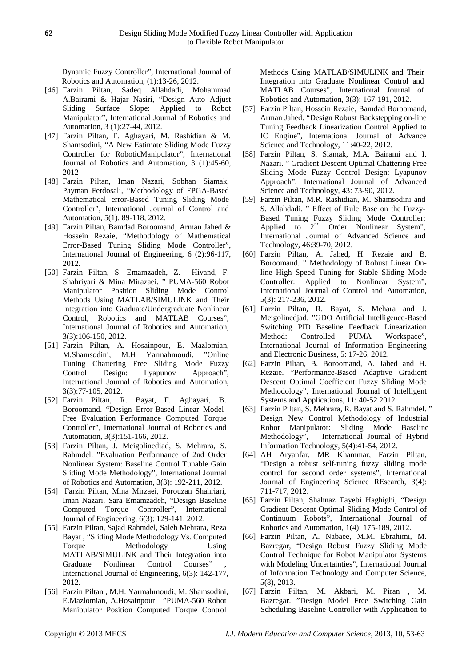Dynamic Fuzzy Controller", International Journal of Robotics and Automation, (1):13-26, 2012.

- [46] Farzin Piltan, Sadeq Allahdadi, Mohammad A.Bairami & Hajar Nasiri, "Design Auto Adjust Sliding Surface Slope: Applied to Robot Manipulator", International Journal of Robotics and Automation, 3 (1):27-44, 2012.
- [47] Farzin Piltan, F. Aghayari, M. Rashidian & M. Shamsodini, "A New Estimate Sliding Mode Fuzzy Controller for RoboticManipulator", International Journal of Robotics and Automation, 3 (1):45-60, 2012
- [48] Farzin Piltan, Iman Nazari, Sobhan Siamak, Payman Ferdosali, "Methodology of FPGA-Based Mathematical error-Based Tuning Sliding Mode Controller", International Journal of Control and Automation, 5(1), 89-118, 2012.
- [49] Farzin Piltan, Bamdad Boroomand, Arman Jahed & Hossein Rezaie, "Methodology of Mathematical Error-Based Tuning Sliding Mode Controller", International Journal of Engineering, 6 (2):96-117, 2012.
- [50] Farzin Piltan, S. Emamzadeh, Z. Hivand, F. Shahriyari & Mina Mirazaei. " PUMA-560 Robot Manipulator Position Sliding Mode Control Methods Using MATLAB/SIMULINK and Their Integration into Graduate/Undergraduate Nonlinear Control, Robotics and MATLAB Courses", International Journal of Robotics and Automation, 3(3):106-150, 2012.
- [51] Farzin Piltan, A. Hosainpour, E. Mazlomian, M.Shamsodini, M.H Yarmahmoudi. "Online Tuning Chattering Free Sliding Mode Fuzzy Control Design: Lyapunov Approach", International Journal of Robotics and Automation, 3(3):77-105, 2012.
- [52] Farzin Piltan, R. Bayat, F. Aghayari, B. Boroomand. "Design Error-Based Linear Model-Free Evaluation Performance Computed Torque Controller", International Journal of Robotics and Automation, 3(3):151-166, 2012.
- [53] Farzin Piltan, J. Meigolinedjad, S. Mehrara, S. Rahmdel. "Evaluation Performance of 2nd Order Nonlinear System: Baseline Control Tunable Gain Sliding Mode Methodology", International Journal of Robotics and Automation, 3(3): 192-211, 2012.
- [54] Farzin Piltan, Mina Mirzaei, Forouzan Shahriari, Iman Nazari, Sara Emamzadeh, "Design Baseline Computed Torque Controller", International Journal of Engineering, 6(3): 129-141, 2012.
- [55] Farzin Piltan, Sajad Rahmdel, Saleh Mehrara, Reza Bayat , "Sliding Mode Methodology Vs. Computed Torque Methodology Using MATLAB/SIMULINK and Their Integration into Graduate Nonlinear Control Courses" International Journal of Engineering, 6(3): 142-177, 2012.
- [56] Farzin Piltan , M.H. Yarmahmoudi, M. Shamsodini, E.Mazlomian, A.Hosainpour. "PUMA-560 Robot Manipulator Position Computed Torque Control

Methods Using MATLAB/SIMULINK and Their Integration into Graduate Nonlinear Control and MATLAB Courses", International Journal of Robotics and Automation, 3(3): 167-191, 2012.

- [57] Farzin Piltan, Hossein Rezaie, Bamdad Boroomand, Arman Jahed. "Design Robust Backstepping on-line Tuning Feedback Linearization Control Applied to IC Engine", International Journal of Advance Science and Technology, 11:40-22, 2012.
- [58] Farzin Piltan, S. Siamak, M.A. Bairami and I. Nazari. " Gradient Descent Optimal Chattering Free Sliding Mode Fuzzy Control Design: Lyapunov Approach", International Journal of Advanced Science and Technology, 43: 73-90, 2012.
- [59] Farzin Piltan, M.R. Rashidian, M. Shamsodini and S. Allahdadi. " Effect of Rule Base on the Fuzzy-Based Tuning Fuzzy Sliding Mode Controller: Applied to  $2^{nd}$  Order Nonlinear System", International Journal of Advanced Science and Technology, 46:39-70, 2012.
- [60] Farzin Piltan, A. Jahed, H. Rezaie and B. Boroomand. " Methodology of Robust Linear Online High Speed Tuning for Stable Sliding Mode Controller: Applied to Nonlinear System", International Journal of Control and Automation, 5(3): 217-236, 2012.
- [61] Farzin Piltan, R. Bayat, S. Mehara and J. Meigolinedjad. "GDO Artificial Intelligence-Based Switching PID Baseline Feedback Linearization Method: Controlled PUMA Workspace", International Journal of Information Engineering and Electronic Business, 5: 17-26, 2012.
- [62] Farzin Piltan, B. Boroomand, A. Jahed and H. Rezaie. "Performance-Based Adaptive Gradient Descent Optimal Coefficient Fuzzy Sliding Mode Methodology", International Journal of Intelligent Systems and Applications, 11: 40-52 2012.
- [63] Farzin Piltan, S. Mehrara, R. Bayat and S. Rahmdel." Design New Control Methodology of Industrial Robot Manipulator: Sliding Mode Baseline Methodology", International Journal of Hybrid Information Technology, 5(4):41-54, 2012.
- [64] AH Aryanfar, MR Khammar, Farzin Piltan, ["Design a robust self-tuning fuzzy sliding mode](http://ijesr.in/wp-content/uploads/2012/07/IJESR-Y12-TJ-H140-Design-a-robust-self-tuning-fuzzy-sliding-mode-control-for-second-order-systems.pdf)  [control for second order systems"](http://ijesr.in/wp-content/uploads/2012/07/IJESR-Y12-TJ-H140-Design-a-robust-self-tuning-fuzzy-sliding-mode-control-for-second-order-systems.pdf), International Journal of Engineering Science REsearch, 3(4): 711-717, 2012.
- [65] Farzin Piltan, Shahnaz Tayebi Haghighi, ["Design](http://scholar.google.com/citations?view_op=view_citation&hl=en&user=qFs3XJoAAAAJ&sortby=pubdate&citation_for_view=qFs3XJoAAAAJ:HDshCWvjkbEC)  [Gradient Descent Optimal Sliding Mode Control of](http://scholar.google.com/citations?view_op=view_citation&hl=en&user=qFs3XJoAAAAJ&sortby=pubdate&citation_for_view=qFs3XJoAAAAJ:HDshCWvjkbEC)  [Continuum Robots"](http://scholar.google.com/citations?view_op=view_citation&hl=en&user=qFs3XJoAAAAJ&sortby=pubdate&citation_for_view=qFs3XJoAAAAJ:HDshCWvjkbEC), International Journal of Robotics and Automation, 1(4): 175-189, 2012.
- [66] Farzin Piltan, A. Nabaee, M.M. Ebrahimi, M. Bazregar, "Design Robust Fuzzy Sliding Mode Control Technique for Robot Manipulator Systems with Modeling Uncertainties", International Journal of Information Technology and Computer Science, 5(8), 2013.
- [67] Farzin Piltan, M. Akbari, M. Piran , M. Bazregar. "Design Model Free Switching Gain Scheduling Baseline Controller with Application to